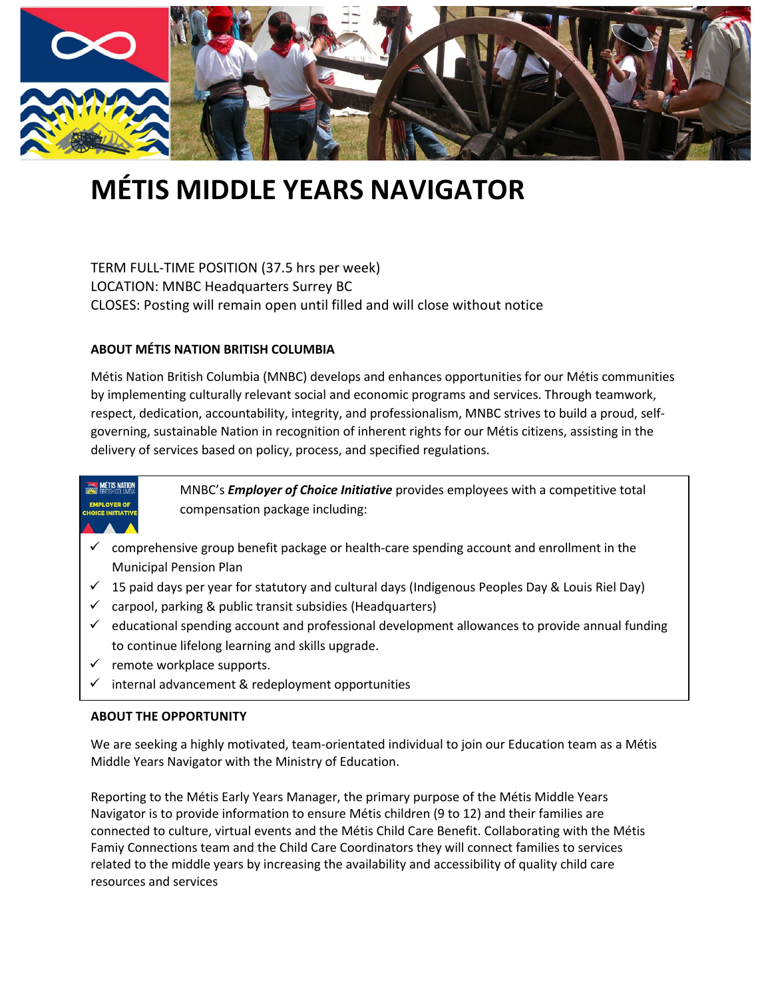

# **MÉTIS MIDDLE YEARS NAVIGATOR**

TERM FULL-TIME POSITION (37.5 hrs per week) LOCATION: MNBC Headquarters Surrey BC CLOSES: Posting will remain open until filled and will close without notice

#### **ABOUT MÉTIS NATION BRITISH COLUMBIA**

Métis Nation British Columbia (MNBC) develops and enhances opportunities for our Métis communities by implementing culturally relevant social and economic programs and services. Through teamwork, respect, dedication, accountability, integrity, and professionalism, MNBC strives to build a proud, selfgoverning, sustainable Nation in recognition of inherent rights for our Métis citizens, assisting in the delivery of services based on policy, process, and specified regulations.

## **MÉTIS NATION IMPLOYER OF**

MNBC's *Employer of Choice Initiative* provides employees with a competitive total compensation package including:

- comprehensive group benefit package or health-care spending account and enrollment in the Municipal Pension Plan
- $\checkmark$  15 paid days per year for statutory and cultural days (Indigenous Peoples Day & Louis Riel Day)
- $\checkmark$  carpool, parking & public transit subsidies (Headquarters)
- $\checkmark$  educational spending account and professional development allowances to provide annual funding to continue lifelong learning and skills upgrade.
- $\checkmark$  remote workplace supports.
- internal advancement & redeployment opportunities

#### **ABOUT THE OPPORTUNITY**

We are seeking a highly motivated, team-orientated individual to join our Education team as a Métis Middle Years Navigator with the Ministry of Education.

Reporting to the Métis Early Years Manager, the primary purpose of the Métis Middle Years Navigator is to provide information to ensure Métis children (9 to 12) and their families are connected to culture, virtual events and the Métis Child Care Benefit. Collaborating with the Métis Famiy Connections team and the Child Care Coordinators they will connect families to services related to the middle years by increasing the availability and accessibility of quality child care resources and services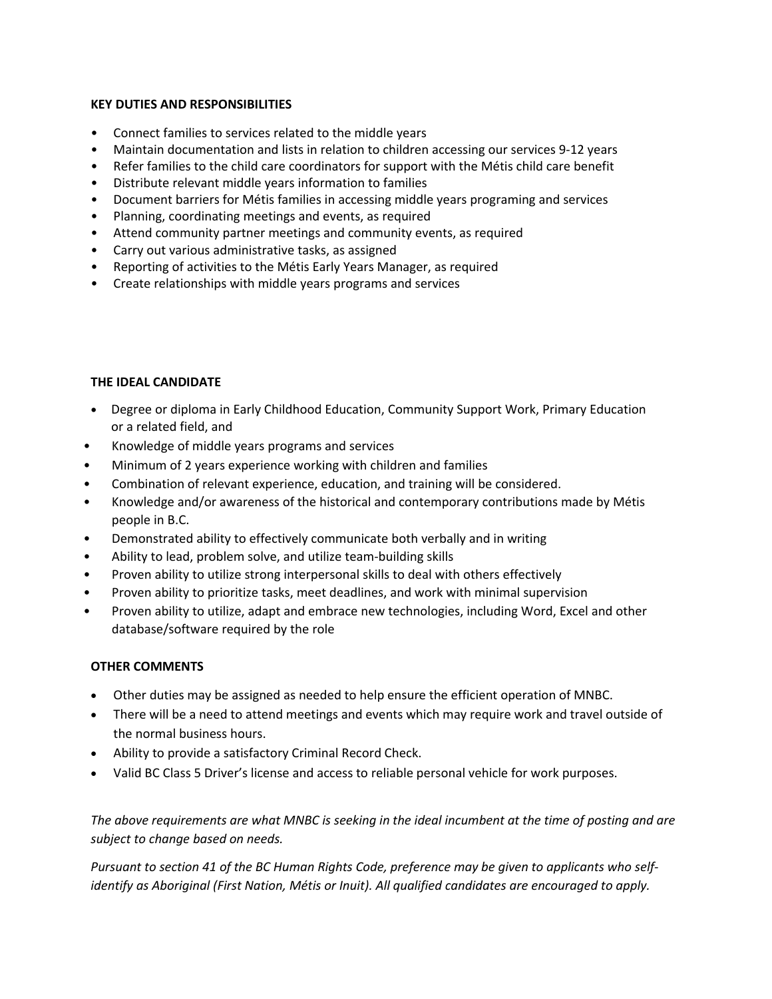#### **KEY DUTIES AND RESPONSIBILITIES**

- Connect families to services related to the middle years
- Maintain documentation and lists in relation to children accessing our services 9-12 years
- Refer families to the child care coordinators for support with the Métis child care benefit
- Distribute relevant middle years information to families
- Document barriers for Métis families in accessing middle years programing and services
- Planning, coordinating meetings and events, as required
- Attend community partner meetings and community events, as required
- Carry out various administrative tasks, as assigned
- Reporting of activities to the Métis Early Years Manager, as required
- Create relationships with middle years programs and services

### **THE IDEAL CANDIDATE**

- Degree or diploma in Early Childhood Education, Community Support Work, Primary Education or a related field, and
- Knowledge of middle years programs and services
- Minimum of 2 years experience working with children and families
- Combination of relevant experience, education, and training will be considered.
- Knowledge and/or awareness of the historical and contemporary contributions made by Métis people in B.C.
- Demonstrated ability to effectively communicate both verbally and in writing
- Ability to lead, problem solve, and utilize team-building skills
- Proven ability to utilize strong interpersonal skills to deal with others effectively
- Proven ability to prioritize tasks, meet deadlines, and work with minimal supervision
- Proven ability to utilize, adapt and embrace new technologies, including Word, Excel and other database/software required by the role

#### **OTHER COMMENTS**

- Other duties may be assigned as needed to help ensure the efficient operation of MNBC.
- There will be a need to attend meetings and events which may require work and travel outside of the normal business hours.
- Ability to provide a satisfactory Criminal Record Check.
- Valid BC Class 5 Driver's license and access to reliable personal vehicle for work purposes.

*The above requirements are what MNBC is seeking in the ideal incumbent at the time of posting and are subject to change based on needs.*

*Pursuant to section 41 of the BC Human Rights Code, preference may be given to applicants who selfidentify as Aboriginal (First Nation, Métis or Inuit). All qualified candidates are encouraged to apply.*